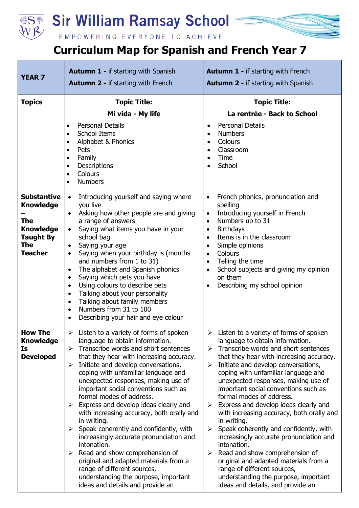

## **Sir William Ramsay School**

## EMPOWERING EVERYONE TO ACHIEVE

## **Curriculum Map for Spanish and French Year 7**

| <b>YEAR 7</b>                                                                                                                | <b>Autumn 1 - if starting with Spanish</b><br><b>Autumn 2 - if starting with French</b>                                                                                                                                                                                                                                                                                                                                                                                                                                                                                                                                                                                                                                                                                                                 | <b>Autumn 1 - if starting with French</b><br><b>Autumn 2 - if starting with Spanish</b>                                                                                                                                                                                                                                                                                                                                                                                                                                                                                                                                                                                                                                                                                              |
|------------------------------------------------------------------------------------------------------------------------------|---------------------------------------------------------------------------------------------------------------------------------------------------------------------------------------------------------------------------------------------------------------------------------------------------------------------------------------------------------------------------------------------------------------------------------------------------------------------------------------------------------------------------------------------------------------------------------------------------------------------------------------------------------------------------------------------------------------------------------------------------------------------------------------------------------|--------------------------------------------------------------------------------------------------------------------------------------------------------------------------------------------------------------------------------------------------------------------------------------------------------------------------------------------------------------------------------------------------------------------------------------------------------------------------------------------------------------------------------------------------------------------------------------------------------------------------------------------------------------------------------------------------------------------------------------------------------------------------------------|
| <b>Topics</b>                                                                                                                | <b>Topic Title:</b><br>Mi vida - My life<br><b>Personal Details</b><br>$\bullet$<br>School Items<br>$\bullet$<br>Alphabet & Phonics<br>$\bullet$<br>Pets<br>$\bullet$<br>Family<br>$\bullet$<br>Descriptions<br>$\bullet$<br>Colours<br>$\bullet$<br><b>Numbers</b><br>$\bullet$                                                                                                                                                                                                                                                                                                                                                                                                                                                                                                                        | <b>Topic Title:</b><br>La rentrée - Back to School<br><b>Personal Details</b><br><b>Numbers</b><br>$\bullet$<br>Colours<br>$\bullet$<br>Classroom<br>$\bullet$<br>Time<br>٠<br>School                                                                                                                                                                                                                                                                                                                                                                                                                                                                                                                                                                                                |
| <b>Substantive</b><br><b>Knowledge</b><br><b>The</b><br><b>Knowledge</b><br><b>Taught By</b><br><b>The</b><br><b>Teacher</b> | Introducing yourself and saying where<br>$\bullet$<br>you live<br>Asking how other people are and giving<br>a range of answers<br>Saying what items you have in your<br>$\bullet$<br>school bag<br>Saying your age<br>٠<br>Saying when your birthday is (months<br>$\bullet$<br>and numbers from 1 to 31)<br>The alphabet and Spanish phonics<br>$\bullet$<br>Saying which pets you have<br>$\bullet$<br>Using colours to describe pets<br>$\bullet$<br>Talking about your personality<br>$\bullet$<br>Talking about family members<br>$\bullet$<br>Numbers from 31 to 100<br>$\bullet$<br>Describing your hair and eye colour<br>$\bullet$                                                                                                                                                             | French phonics, pronunciation and<br>$\bullet$<br>spelling<br>Introducing yourself in French<br>$\bullet$<br>Numbers up to 31<br>$\bullet$<br><b>Birthdays</b><br>$\bullet$<br>Items is in the classroom<br>$\bullet$<br>Simple opinions<br>Colours<br>$\bullet$<br>Telling the time<br>$\bullet$<br>School subjects and giving my opinion<br>$\bullet$<br>on them<br>Describing my school opinion<br>$\bullet$                                                                                                                                                                                                                                                                                                                                                                      |
| <b>How The</b><br><b>Knowledge</b><br>Is<br><b>Developed</b>                                                                 | Listen to a variety of forms of spoken<br>≻<br>language to obtain information.<br>Transcribe words and short sentences<br>➤<br>that they hear with increasing accuracy.<br>Initiate and develop conversations,<br>➤<br>coping with unfamiliar language and<br>unexpected responses, making use of<br>important social conventions such as<br>formal modes of address.<br>Express and develop ideas clearly and<br>➤<br>with increasing accuracy, both orally and<br>in writing.<br>Speak coherently and confidently, with<br>$\blacktriangleright$<br>increasingly accurate pronunciation and<br>intonation.<br>Read and show comprehension of<br>➤<br>original and adapted materials from a<br>range of different sources,<br>understanding the purpose, important<br>ideas and details and provide an | Listen to a variety of forms of spoken<br>➤<br>language to obtain information.<br>Transcribe words and short sentences<br>➤<br>that they hear with increasing accuracy.<br>Initiate and develop conversations,<br>➤<br>coping with unfamiliar language and<br>unexpected responses, making use of<br>important social conventions such as<br>formal modes of address.<br>Express and develop ideas clearly and<br>➤<br>with increasing accuracy, both orally and<br>in writing.<br>Speak coherently and confidently, with<br>➤<br>increasingly accurate pronunciation and<br>intonation.<br>Read and show comprehension of<br>➤<br>original and adapted materials from a<br>range of different sources,<br>understanding the purpose, important<br>ideas and details, and provide an |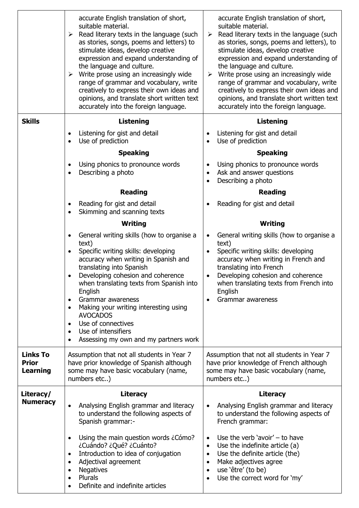|                                 | accurate English translation of short,<br>suitable material.<br>$\triangleright$ Read literary texts in the language (such<br>as stories, songs, poems and letters) to<br>stimulate ideas, develop creative<br>expression and expand understanding of<br>the language and culture.<br>Write prose using an increasingly wide<br>➤<br>range of grammar and vocabulary, write<br>creatively to express their own ideas and<br>opinions, and translate short written text<br>accurately into the foreign language. | accurate English translation of short,<br>suitable material.<br>Read literary texts in the language (such<br>➤<br>as stories, songs, poems and letters), to<br>stimulate ideas, develop creative<br>expression and expand understanding of<br>the language and culture.<br>$\triangleright$ Write prose using an increasingly wide<br>range of grammar and vocabulary, write<br>creatively to express their own ideas and<br>opinions, and translate short written text<br>accurately into the foreign language. |
|---------------------------------|-----------------------------------------------------------------------------------------------------------------------------------------------------------------------------------------------------------------------------------------------------------------------------------------------------------------------------------------------------------------------------------------------------------------------------------------------------------------------------------------------------------------|------------------------------------------------------------------------------------------------------------------------------------------------------------------------------------------------------------------------------------------------------------------------------------------------------------------------------------------------------------------------------------------------------------------------------------------------------------------------------------------------------------------|
| <b>Skills</b>                   | <b>Listening</b>                                                                                                                                                                                                                                                                                                                                                                                                                                                                                                | <b>Listening</b>                                                                                                                                                                                                                                                                                                                                                                                                                                                                                                 |
|                                 | Listening for gist and detail<br>Use of prediction<br>$\bullet$                                                                                                                                                                                                                                                                                                                                                                                                                                                 | Listening for gist and detail<br>Use of prediction<br>$\bullet$                                                                                                                                                                                                                                                                                                                                                                                                                                                  |
|                                 | <b>Speaking</b>                                                                                                                                                                                                                                                                                                                                                                                                                                                                                                 | <b>Speaking</b>                                                                                                                                                                                                                                                                                                                                                                                                                                                                                                  |
|                                 | Using phonics to pronounce words<br>$\bullet$<br>Describing a photo<br>$\bullet$                                                                                                                                                                                                                                                                                                                                                                                                                                | Using phonics to pronounce words<br>$\bullet$<br>Ask and answer questions<br>$\bullet$<br>Describing a photo                                                                                                                                                                                                                                                                                                                                                                                                     |
|                                 | <b>Reading</b>                                                                                                                                                                                                                                                                                                                                                                                                                                                                                                  | <b>Reading</b>                                                                                                                                                                                                                                                                                                                                                                                                                                                                                                   |
|                                 | Reading for gist and detail<br>$\bullet$<br>Skimming and scanning texts<br>$\bullet$                                                                                                                                                                                                                                                                                                                                                                                                                            | Reading for gist and detail                                                                                                                                                                                                                                                                                                                                                                                                                                                                                      |
|                                 | Writing                                                                                                                                                                                                                                                                                                                                                                                                                                                                                                         | Writing                                                                                                                                                                                                                                                                                                                                                                                                                                                                                                          |
|                                 | General writing skills (how to organise a<br>text)<br>Specific writing skills: developing<br>$\bullet$<br>accuracy when writing in Spanish and<br>translating into Spanish<br>Developing cohesion and coherence<br>when translating texts from Spanish into<br>English<br>Grammar awareness<br>$\bullet$<br>Making your writing interesting using<br>$\bullet$<br><b>AVOCADOS</b><br>Use of connectives<br>$\bullet$<br>Use of intensifiers<br>Assessing my own and my partners work                            | General writing skills (how to organise a<br>text)<br>Specific writing skills: developing<br>$\bullet$<br>accuracy when writing in French and<br>translating into French<br>Developing cohesion and coherence<br>$\bullet$<br>when translating texts from French into<br>English<br>Grammar awareness                                                                                                                                                                                                            |
| <b>Links To</b>                 | Assumption that not all students in Year 7                                                                                                                                                                                                                                                                                                                                                                                                                                                                      | Assumption that not all students in Year 7                                                                                                                                                                                                                                                                                                                                                                                                                                                                       |
| <b>Prior</b><br><b>Learning</b> | have prior knowledge of Spanish although<br>some may have basic vocabulary (name,<br>numbers etc)                                                                                                                                                                                                                                                                                                                                                                                                               | have prior knowledge of French although<br>some may have basic vocabulary (name,<br>numbers etc)                                                                                                                                                                                                                                                                                                                                                                                                                 |
| Literacy/                       | <b>Literacy</b>                                                                                                                                                                                                                                                                                                                                                                                                                                                                                                 | <b>Literacy</b>                                                                                                                                                                                                                                                                                                                                                                                                                                                                                                  |
| <b>Numeracy</b>                 | Analysing English grammar and literacy<br>to understand the following aspects of<br>Spanish grammar:-                                                                                                                                                                                                                                                                                                                                                                                                           | Analysing English grammar and literacy<br>$\bullet$<br>to understand the following aspects of<br>French grammar:                                                                                                                                                                                                                                                                                                                                                                                                 |
|                                 | Using the main question words ¿Cómo?<br>$\bullet$<br>¿Cuándo? ¿Qué? ¿Cuánto?<br>Introduction to idea of conjugation<br>$\bullet$<br>Adjectival agreement<br>$\bullet$<br><b>Negatives</b><br>$\bullet$<br>Plurals<br>$\bullet$<br>Definite and indefinite articles                                                                                                                                                                                                                                              | Use the verb 'avoir' $-$ to have<br>$\bullet$<br>Use the indefinite article (a)<br>$\bullet$<br>Use the definite article (the)<br>$\bullet$<br>Make adjectives agree<br>$\bullet$<br>use 'être' (to be)<br>$\bullet$<br>Use the correct word for 'my'                                                                                                                                                                                                                                                            |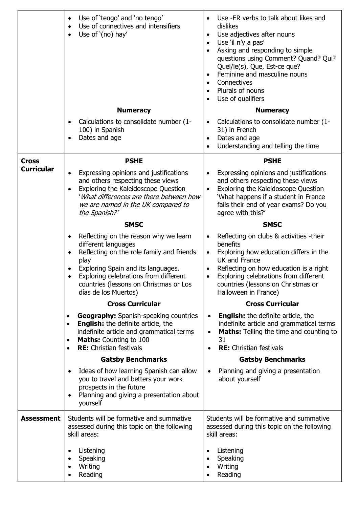|                   | Use of 'tengo' and 'no tengo'<br>$\bullet$<br>Use of connectives and intensifiers<br>$\bullet$<br>Use of '(no) hay'<br>$\bullet$                                                                                                                                                                          | Use -ER verbs to talk about likes and<br>dislikes<br>Use adjectives after nouns<br>$\bullet$<br>Use 'il n'y a pas'<br>$\bullet$<br>Asking and responding to simple<br>questions using Comment? Quand? Qui?<br>Quel/le(s), Que, Est-ce que?<br>Feminine and masculine nouns<br>Connectives<br>$\bullet$<br>Plurals of nouns<br>Use of qualifiers<br>$\bullet$ |
|-------------------|-----------------------------------------------------------------------------------------------------------------------------------------------------------------------------------------------------------------------------------------------------------------------------------------------------------|--------------------------------------------------------------------------------------------------------------------------------------------------------------------------------------------------------------------------------------------------------------------------------------------------------------------------------------------------------------|
|                   | <b>Numeracy</b>                                                                                                                                                                                                                                                                                           | <b>Numeracy</b>                                                                                                                                                                                                                                                                                                                                              |
|                   | Calculations to consolidate number (1-<br>٠<br>100) in Spanish<br>Dates and age<br>$\bullet$                                                                                                                                                                                                              | Calculations to consolidate number (1-<br>٠<br>31) in French<br>Dates and age<br>$\bullet$<br>Understanding and telling the time                                                                                                                                                                                                                             |
| <b>Cross</b>      | <b>PSHE</b>                                                                                                                                                                                                                                                                                               | <b>PSHE</b>                                                                                                                                                                                                                                                                                                                                                  |
| <b>Curricular</b> | Expressing opinions and justifications<br>and others respecting these views<br><b>Exploring the Kaleidoscope Question</b><br>$\bullet$<br>'What differences are there between how<br>we are named in the UK compared to<br>the Spanish?'                                                                  | Expressing opinions and justifications<br>and others respecting these views<br>Exploring the Kaleidoscope Question<br>$\bullet$<br>'What happens if a student in France<br>fails their end of year exams? Do you<br>agree with this?'                                                                                                                        |
|                   | <b>SMSC</b>                                                                                                                                                                                                                                                                                               | <b>SMSC</b>                                                                                                                                                                                                                                                                                                                                                  |
|                   | Reflecting on the reason why we learn<br>$\bullet$<br>different languages<br>Reflecting on the role family and friends<br>$\bullet$<br>play<br>Exploring Spain and its languages.<br>Exploring celebrations from different<br>$\bullet$<br>countries (lessons on Christmas or Los<br>días de los Muertos) | Reflecting on clubs & activities -their<br>$\bullet$<br>benefits<br>Exploring how education differs in the<br>$\bullet$<br><b>UK and France</b><br>Reflecting on how education is a right<br>$\bullet$<br>Exploring celebrations from different<br>$\bullet$<br>countries (lessons on Christmas or<br>Halloween in France)                                   |
|                   | <b>Cross Curricular</b>                                                                                                                                                                                                                                                                                   | <b>Cross Curricular</b>                                                                                                                                                                                                                                                                                                                                      |
|                   | <b>Geography:</b> Spanish-speaking countries<br>$\bullet$<br><b>English:</b> the definite article, the<br>$\bullet$<br>indefinite article and grammatical terms<br><b>Maths:</b> Counting to 100<br>$\bullet$<br><b>RE:</b> Christian festivals<br>$\bullet$                                              | <b>English:</b> the definite article, the<br>$\bullet$<br>indefinite article and grammatical terms<br><b>Maths:</b> Telling the time and counting to<br>$\bullet$<br>31<br><b>RE:</b> Christian festivals<br>$\bullet$                                                                                                                                       |
|                   | <b>Gatsby Benchmarks</b>                                                                                                                                                                                                                                                                                  | <b>Gatsby Benchmarks</b>                                                                                                                                                                                                                                                                                                                                     |
|                   | Ideas of how learning Spanish can allow<br>you to travel and betters your work<br>prospects in the future<br>Planning and giving a presentation about<br>$\bullet$<br>yourself                                                                                                                            | Planning and giving a presentation<br>$\bullet$<br>about yourself                                                                                                                                                                                                                                                                                            |
| <b>Assessment</b> | Students will be formative and summative<br>assessed during this topic on the following<br>skill areas:                                                                                                                                                                                                   | Students will be formative and summative<br>assessed during this topic on the following<br>skill areas:                                                                                                                                                                                                                                                      |
|                   | Listening<br>$\bullet$<br>Speaking<br>Writing<br>Reading                                                                                                                                                                                                                                                  | Listening<br>٠<br>Speaking<br>Writing<br>Reading                                                                                                                                                                                                                                                                                                             |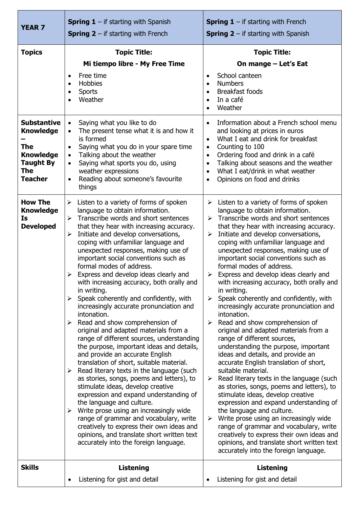| <b>YEAR 7</b>                                                                                                                                 | <b>Spring 1</b> – if starting with Spanish<br><b>Spring 2</b> – if starting with French                                                                                                                                                                                                                                                                                                                                                                                                                                                                                                                                                                                                                                                                                                                                                                                                                                                                                                                                                                                                                                                                                                                                                                                                                                                     | <b>Spring 1</b> – if starting with French<br><b>Spring 2</b> – if starting with Spanish                                                                                                                                                                                                                                                                                                                                                                                                                                                                                                                                                                                                                                                                                                                                                                                                                                                                                                                                                                                                                                                                                                                                                                                                      |
|-----------------------------------------------------------------------------------------------------------------------------------------------|---------------------------------------------------------------------------------------------------------------------------------------------------------------------------------------------------------------------------------------------------------------------------------------------------------------------------------------------------------------------------------------------------------------------------------------------------------------------------------------------------------------------------------------------------------------------------------------------------------------------------------------------------------------------------------------------------------------------------------------------------------------------------------------------------------------------------------------------------------------------------------------------------------------------------------------------------------------------------------------------------------------------------------------------------------------------------------------------------------------------------------------------------------------------------------------------------------------------------------------------------------------------------------------------------------------------------------------------|----------------------------------------------------------------------------------------------------------------------------------------------------------------------------------------------------------------------------------------------------------------------------------------------------------------------------------------------------------------------------------------------------------------------------------------------------------------------------------------------------------------------------------------------------------------------------------------------------------------------------------------------------------------------------------------------------------------------------------------------------------------------------------------------------------------------------------------------------------------------------------------------------------------------------------------------------------------------------------------------------------------------------------------------------------------------------------------------------------------------------------------------------------------------------------------------------------------------------------------------------------------------------------------------|
| <b>Topics</b><br><b>Substantive</b><br><b>Knowledge</b><br><b>The</b><br><b>Knowledge</b><br><b>Taught By</b><br><b>The</b><br><b>Teacher</b> | <b>Topic Title:</b><br>Mi tiempo libre - My Free Time<br>Free time<br>$\bullet$<br>Hobbies<br>$\bullet$<br>Sports<br>$\bullet$<br>Weather<br>Saying what you like to do<br>$\bullet$<br>The present tense what it is and how it<br>is formed<br>Saying what you do in your spare time<br>Talking about the weather<br>Saying what sports you do, using<br>$\bullet$<br>weather expressions<br>Reading about someone's favourite                                                                                                                                                                                                                                                                                                                                                                                                                                                                                                                                                                                                                                                                                                                                                                                                                                                                                                             | <b>Topic Title:</b><br>On mange - Let's Eat<br>School canteen<br><b>Numbers</b><br>$\bullet$<br>Breakfast foods<br>In a café<br>$\bullet$<br>Weather<br>Information about a French school menu<br>$\bullet$<br>and looking at prices in euros<br>What I eat and drink for breakfast<br>$\bullet$<br>Counting to 100<br>$\bullet$<br>Ordering food and drink in a café<br>$\bullet$<br>Talking about seasons and the weather<br>$\bullet$<br>What I eat/drink in what weather<br>$\bullet$<br>Opinions on food and drinks<br>$\bullet$                                                                                                                                                                                                                                                                                                                                                                                                                                                                                                                                                                                                                                                                                                                                                        |
| <b>How The</b><br><b>Knowledge</b><br><b>Is</b><br><b>Developed</b>                                                                           | things<br>Listen to a variety of forms of spoken<br>≻<br>language to obtain information.<br>Transcribe words and short sentences<br>$\blacktriangleright$<br>that they hear with increasing accuracy.<br>Initiate and develop conversations,<br>➤<br>coping with unfamiliar language and<br>unexpected responses, making use of<br>important social conventions such as<br>formal modes of address.<br>Express and develop ideas clearly and<br>➤<br>with increasing accuracy, both orally and<br>in writing.<br>Speak coherently and confidently, with<br>$\blacktriangleright$<br>increasingly accurate pronunciation and<br>intonation.<br>Read and show comprehension of<br>➤<br>original and adapted materials from a<br>range of different sources, understanding<br>the purpose, important ideas and details,<br>and provide an accurate English<br>translation of short, suitable material.<br>Read literary texts in the language (such<br>➤<br>as stories, songs, poems and letters), to<br>stimulate ideas, develop creative<br>expression and expand understanding of<br>the language and culture.<br>Write prose using an increasingly wide<br>➤<br>range of grammar and vocabulary, write<br>creatively to express their own ideas and<br>opinions, and translate short written text<br>accurately into the foreign language. | Listen to a variety of forms of spoken<br>➤<br>language to obtain information.<br>Transcribe words and short sentences<br>➤<br>that they hear with increasing accuracy.<br>Initiate and develop conversations,<br>≻<br>coping with unfamiliar language and<br>unexpected responses, making use of<br>important social conventions such as<br>formal modes of address.<br>Express and develop ideas clearly and<br>➤<br>with increasing accuracy, both orally and<br>in writing.<br>Speak coherently and confidently, with<br>➤<br>increasingly accurate pronunciation and<br>intonation.<br>Read and show comprehension of<br>➤<br>original and adapted materials from a<br>range of different sources,<br>understanding the purpose, important<br>ideas and details, and provide an<br>accurate English translation of short,<br>suitable material.<br>Read literary texts in the language (such<br>➤<br>as stories, songs, poems and letters), to<br>stimulate ideas, develop creative<br>expression and expand understanding of<br>the language and culture.<br>Write prose using an increasingly wide<br>➤<br>range of grammar and vocabulary, write<br>creatively to express their own ideas and<br>opinions, and translate short written text<br>accurately into the foreign language. |
| <b>Skills</b>                                                                                                                                 | <b>Listening</b><br>Listening for gist and detail                                                                                                                                                                                                                                                                                                                                                                                                                                                                                                                                                                                                                                                                                                                                                                                                                                                                                                                                                                                                                                                                                                                                                                                                                                                                                           | <b>Listening</b><br>Listening for gist and detail                                                                                                                                                                                                                                                                                                                                                                                                                                                                                                                                                                                                                                                                                                                                                                                                                                                                                                                                                                                                                                                                                                                                                                                                                                            |
|                                                                                                                                               |                                                                                                                                                                                                                                                                                                                                                                                                                                                                                                                                                                                                                                                                                                                                                                                                                                                                                                                                                                                                                                                                                                                                                                                                                                                                                                                                             |                                                                                                                                                                                                                                                                                                                                                                                                                                                                                                                                                                                                                                                                                                                                                                                                                                                                                                                                                                                                                                                                                                                                                                                                                                                                                              |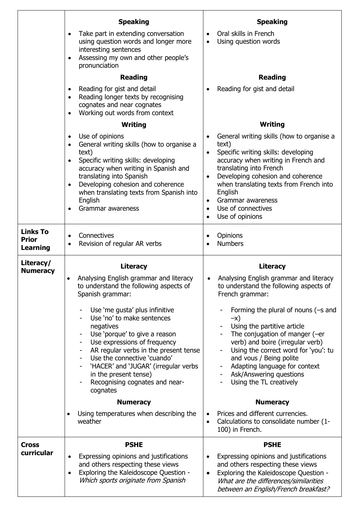|                                                    | <b>Speaking</b>                                                                                                                                                                                                                                                                                                                                               | <b>Speaking</b>                                                                                                                                                                                                                                                                                             |
|----------------------------------------------------|---------------------------------------------------------------------------------------------------------------------------------------------------------------------------------------------------------------------------------------------------------------------------------------------------------------------------------------------------------------|-------------------------------------------------------------------------------------------------------------------------------------------------------------------------------------------------------------------------------------------------------------------------------------------------------------|
|                                                    | Take part in extending conversation<br>using question words and longer more<br>interesting sentences<br>Assessing my own and other people's<br>$\bullet$                                                                                                                                                                                                      | Oral skills in French<br>Using question words                                                                                                                                                                                                                                                               |
|                                                    | pronunciation                                                                                                                                                                                                                                                                                                                                                 |                                                                                                                                                                                                                                                                                                             |
|                                                    | <b>Reading</b>                                                                                                                                                                                                                                                                                                                                                | <b>Reading</b>                                                                                                                                                                                                                                                                                              |
|                                                    | Reading for gist and detail<br>٠<br>Reading longer texts by recognising<br>$\bullet$<br>cognates and near cognates<br>Working out words from context                                                                                                                                                                                                          | Reading for gist and detail                                                                                                                                                                                                                                                                                 |
|                                                    | Writing                                                                                                                                                                                                                                                                                                                                                       | Writing                                                                                                                                                                                                                                                                                                     |
|                                                    | Use of opinions<br>$\bullet$<br>General writing skills (how to organise a<br>$\bullet$<br>text)                                                                                                                                                                                                                                                               | General writing skills (how to organise a<br>text)<br>Specific writing skills: developing<br>$\bullet$                                                                                                                                                                                                      |
|                                                    | Specific writing skills: developing<br>accuracy when writing in Spanish and<br>translating into Spanish                                                                                                                                                                                                                                                       | accuracy when writing in French and<br>translating into French<br>Developing cohesion and coherence<br>$\bullet$                                                                                                                                                                                            |
|                                                    | Developing cohesion and coherence<br>$\bullet$<br>when translating texts from Spanish into<br>English                                                                                                                                                                                                                                                         | when translating texts from French into<br>English<br>Grammar awareness                                                                                                                                                                                                                                     |
|                                                    | Grammar awareness                                                                                                                                                                                                                                                                                                                                             | Use of connectives<br>$\bullet$<br>Use of opinions                                                                                                                                                                                                                                                          |
| <b>Links To</b><br><b>Prior</b><br><b>Learning</b> | Connectives<br>$\bullet$<br>Revision of regular AR verbs                                                                                                                                                                                                                                                                                                      | Opinions<br><b>Numbers</b>                                                                                                                                                                                                                                                                                  |
|                                                    |                                                                                                                                                                                                                                                                                                                                                               |                                                                                                                                                                                                                                                                                                             |
| Literacy/                                          | <b>Literacy</b>                                                                                                                                                                                                                                                                                                                                               | <b>Literacy</b>                                                                                                                                                                                                                                                                                             |
| <b>Numeracy</b>                                    | Analysing English grammar and literacy<br>to understand the following aspects of<br>Spanish grammar:                                                                                                                                                                                                                                                          | Analysing English grammar and literacy<br>to understand the following aspects of<br>French grammar:                                                                                                                                                                                                         |
|                                                    | Use 'me gusta' plus infinitive<br>Use 'no' to make sentences<br>negatives<br>Use 'porque' to give a reason<br>Use expressions of frequency<br>$\overline{\phantom{0}}$<br>AR regular verbs in the present tense<br>Use the connective 'cuando'<br>'HACER' and 'JUGAR' (irregular verbs<br>in the present tense)<br>Recognising cognates and near-<br>cognates | Forming the plural of nouns (-s and<br>$-x)$<br>Using the partitive article<br>The conjugation of manger (-er<br>verb) and boire (irregular verb)<br>Using the correct word for 'you': tu<br>and vous / Being polite<br>Adapting language for context<br>Ask/Answering questions<br>Using the TL creatively |
|                                                    | <b>Numeracy</b>                                                                                                                                                                                                                                                                                                                                               | <b>Numeracy</b>                                                                                                                                                                                                                                                                                             |
|                                                    | Using temperatures when describing the<br>$\bullet$<br>weather                                                                                                                                                                                                                                                                                                | Prices and different currencies.<br>Calculations to consolidate number (1-<br>100) in French.                                                                                                                                                                                                               |
| <b>Cross</b><br>curricular                         | <b>PSHE</b>                                                                                                                                                                                                                                                                                                                                                   | <b>PSHE</b>                                                                                                                                                                                                                                                                                                 |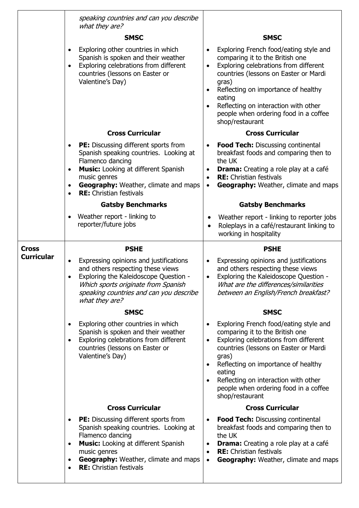|                   | speaking countries and can you describe<br>what they are?                                                                                                                                                                                                                                             |                                                                                                                                                                                                                                                                                                                                                                  |
|-------------------|-------------------------------------------------------------------------------------------------------------------------------------------------------------------------------------------------------------------------------------------------------------------------------------------------------|------------------------------------------------------------------------------------------------------------------------------------------------------------------------------------------------------------------------------------------------------------------------------------------------------------------------------------------------------------------|
|                   | <b>SMSC</b>                                                                                                                                                                                                                                                                                           | <b>SMSC</b>                                                                                                                                                                                                                                                                                                                                                      |
|                   | Exploring other countries in which<br>$\bullet$<br>Spanish is spoken and their weather<br>Exploring celebrations from different<br>countries (lessons on Easter or<br>Valentine's Day)                                                                                                                | Exploring French food/eating style and<br>$\bullet$<br>comparing it to the British one<br>Exploring celebrations from different<br>$\bullet$<br>countries (lessons on Easter or Mardi<br>gras)<br>Reflecting on importance of healthy<br>eating<br>Reflecting on interaction with other<br>$\bullet$<br>people when ordering food in a coffee<br>shop/restaurant |
|                   | <b>Cross Curricular</b>                                                                                                                                                                                                                                                                               | <b>Cross Curricular</b>                                                                                                                                                                                                                                                                                                                                          |
|                   | <b>PE:</b> Discussing different sports from<br>$\bullet$<br>Spanish speaking countries. Looking at<br>Flamenco dancing<br><b>Music:</b> Looking at different Spanish<br>$\bullet$<br>music genres<br>Geography: Weather, climate and maps<br>$\bullet$<br><b>RE:</b> Christian festivals<br>$\bullet$ | <b>Food Tech:</b> Discussing continental<br>$\bullet$<br>breakfast foods and comparing then to<br>the UK<br><b>Drama:</b> Creating a role play at a café<br>$\bullet$<br><b>RE:</b> Christian festivals<br>$\bullet$<br><b>Geography:</b> Weather, climate and maps<br>$\bullet$                                                                                 |
|                   | <b>Gatsby Benchmarks</b>                                                                                                                                                                                                                                                                              | <b>Gatsby Benchmarks</b>                                                                                                                                                                                                                                                                                                                                         |
|                   | Weather report - linking to<br>$\bullet$<br>reporter/future jobs                                                                                                                                                                                                                                      | Weather report - linking to reporter jobs<br>$\bullet$<br>Roleplays in a café/restaurant linking to<br>$\bullet$<br>working in hospitality                                                                                                                                                                                                                       |
|                   |                                                                                                                                                                                                                                                                                                       |                                                                                                                                                                                                                                                                                                                                                                  |
| <b>Cross</b>      | <b>PSHE</b>                                                                                                                                                                                                                                                                                           | <b>PSHE</b>                                                                                                                                                                                                                                                                                                                                                      |
| <b>Curricular</b> | Expressing opinions and justifications<br>and others respecting these views<br>Exploring the Kaleidoscope Question -<br>Which sports originate from Spanish<br>speaking countries and can you describe<br>what they are?                                                                              | Expressing opinions and justifications<br>and others respecting these views<br>Exploring the Kaleidoscope Question -<br>$\bullet$<br>What are the differences/similarities<br>between an English/French breakfast?                                                                                                                                               |
|                   | <b>SMSC</b>                                                                                                                                                                                                                                                                                           | <b>SMSC</b>                                                                                                                                                                                                                                                                                                                                                      |
|                   | Exploring other countries in which<br>Spanish is spoken and their weather<br>Exploring celebrations from different<br>$\bullet$<br>countries (lessons on Easter or<br>Valentine's Day)                                                                                                                | Exploring French food/eating style and<br>comparing it to the British one<br>Exploring celebrations from different<br>$\bullet$<br>countries (lessons on Easter or Mardi<br>gras)<br>Reflecting on importance of healthy<br>$\bullet$<br>eating<br>Reflecting on interaction with other<br>people when ordering food in a coffee<br>shop/restaurant              |
|                   | <b>Cross Curricular</b>                                                                                                                                                                                                                                                                               | <b>Cross Curricular</b>                                                                                                                                                                                                                                                                                                                                          |
|                   | <b>PE:</b> Discussing different sports from<br>$\bullet$<br>Spanish speaking countries. Looking at<br>Flamenco dancing<br><b>Music:</b> Looking at different Spanish<br>$\bullet$<br>music genres<br><b>Geography:</b> Weather, climate and maps<br>$\bullet$<br><b>RE:</b> Christian festivals       | <b>Food Tech:</b> Discussing continental<br>٠<br>breakfast foods and comparing then to<br>the UK<br><b>Drama:</b> Creating a role play at a café<br>٠<br><b>RE:</b> Christian festivals<br>$\bullet$<br><b>Geography:</b> Weather, climate and maps<br>$\bullet$                                                                                                 |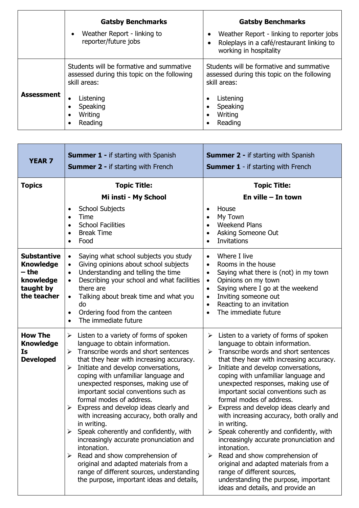|                   | <b>Gatsby Benchmarks</b>                                                                                | <b>Gatsby Benchmarks</b>                                                                                              |
|-------------------|---------------------------------------------------------------------------------------------------------|-----------------------------------------------------------------------------------------------------------------------|
|                   | Weather Report - linking to<br>reporter/future jobs                                                     | Weather Report - linking to reporter jobs<br>٠<br>Roleplays in a café/restaurant linking to<br>working in hospitality |
|                   | Students will be formative and summative<br>assessed during this topic on the following<br>skill areas: | Students will be formative and summative<br>assessed during this topic on the following<br>skill areas:               |
| <b>Assessment</b> | Listening<br>٠<br>Speaking<br>Writing<br>$\bullet$<br>Reading<br>$\bullet$                              | Listening<br>Speaking<br>Writing<br>Reading                                                                           |

H

 $\overline{\phantom{0}}$ 

| <b>YEAR 7</b>                                                                            | <b>Summer 1 - if starting with Spanish</b><br><b>Summer 2 - if starting with French</b>                                                                                                                                                                                                                                                                                                                                                                                                                                                                                                                                                                                                                                                                                                                    | <b>Summer 2 - if starting with Spanish</b><br><b>Summer 1</b> - if starting with French                                                                                                                                                                                                                                                                                                                                                                                                                                                                                                                                                                                                                                                                                                          |
|------------------------------------------------------------------------------------------|------------------------------------------------------------------------------------------------------------------------------------------------------------------------------------------------------------------------------------------------------------------------------------------------------------------------------------------------------------------------------------------------------------------------------------------------------------------------------------------------------------------------------------------------------------------------------------------------------------------------------------------------------------------------------------------------------------------------------------------------------------------------------------------------------------|--------------------------------------------------------------------------------------------------------------------------------------------------------------------------------------------------------------------------------------------------------------------------------------------------------------------------------------------------------------------------------------------------------------------------------------------------------------------------------------------------------------------------------------------------------------------------------------------------------------------------------------------------------------------------------------------------------------------------------------------------------------------------------------------------|
| <b>Topics</b>                                                                            | <b>Topic Title:</b><br>Mi insti - My School<br>School Subjects<br>$\bullet$<br>Time<br>$\bullet$<br><b>School Facilities</b><br>$\bullet$<br><b>Break Time</b><br>$\bullet$<br>Food<br>$\bullet$                                                                                                                                                                                                                                                                                                                                                                                                                                                                                                                                                                                                           | <b>Topic Title:</b><br>En ville $-$ In town<br>House<br>$\bullet$<br>My Town<br>$\bullet$<br><b>Weekend Plans</b><br>Asking Someone Out<br><b>Invitations</b>                                                                                                                                                                                                                                                                                                                                                                                                                                                                                                                                                                                                                                    |
| <b>Substantive</b><br><b>Knowledge</b><br>– the<br>knowledge<br>taught by<br>the teacher | Saying what school subjects you study<br>$\bullet$<br>Giving opinions about school subjects<br>$\bullet$<br>Understanding and telling the time<br>$\bullet$<br>Describing your school and what facilities<br>$\bullet$<br>there are<br>Talking about break time and what you<br>$\bullet$<br>do<br>Ordering food from the canteen<br>$\bullet$<br>The immediate future<br>$\bullet$                                                                                                                                                                                                                                                                                                                                                                                                                        | Where I live<br>$\bullet$<br>Rooms in the house<br>$\bullet$<br>Saying what there is (not) in my town<br>$\bullet$<br>Opinions on my town<br>$\bullet$<br>Saying where I go at the weekend<br>$\bullet$<br>Inviting someone out<br>$\bullet$<br>Reacting to an invitation<br>The immediate future<br>$\bullet$                                                                                                                                                                                                                                                                                                                                                                                                                                                                                   |
| <b>How The</b><br><b>Knowledge</b><br>Is<br><b>Developed</b>                             | Listen to a variety of forms of spoken<br>$\blacktriangleright$<br>language to obtain information.<br>Transcribe words and short sentences<br>$\blacktriangleright$<br>that they hear with increasing accuracy.<br>Initiate and develop conversations,<br>➤<br>coping with unfamiliar language and<br>unexpected responses, making use of<br>important social conventions such as<br>formal modes of address.<br>Express and develop ideas clearly and<br>➤<br>with increasing accuracy, both orally and<br>in writing.<br>Speak coherently and confidently, with<br>➤<br>increasingly accurate pronunciation and<br>intonation.<br>Read and show comprehension of<br>➤<br>original and adapted materials from a<br>range of different sources, understanding<br>the purpose, important ideas and details, | Listen to a variety of forms of spoken<br>≻<br>language to obtain information.<br>$\triangleright$ Transcribe words and short sentences<br>that they hear with increasing accuracy.<br>Initiate and develop conversations,<br>➤<br>coping with unfamiliar language and<br>unexpected responses, making use of<br>important social conventions such as<br>formal modes of address.<br>Express and develop ideas clearly and<br>➤<br>with increasing accuracy, both orally and<br>in writing.<br>Speak coherently and confidently, with<br>➤<br>increasingly accurate pronunciation and<br>intonation.<br>Read and show comprehension of<br>➤<br>original and adapted materials from a<br>range of different sources,<br>understanding the purpose, important<br>ideas and details, and provide an |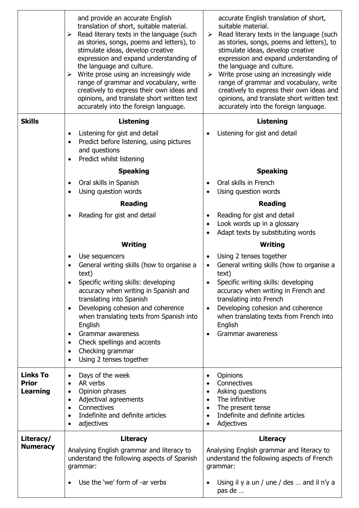|                                             | and provide an accurate English<br>translation of short, suitable material.<br>$\triangleright$ Read literary texts in the language (such<br>as stories, songs, poems and letters), to<br>stimulate ideas, develop creative<br>expression and expand understanding of<br>the language and culture.<br>Write prose using an increasingly wide<br>$\blacktriangleright$<br>range of grammar and vocabulary, write<br>creatively to express their own ideas and<br>opinions, and translate short written text<br>accurately into the foreign language. | accurate English translation of short,<br>suitable material.<br>$\triangleright$ Read literary texts in the language (such<br>as stories, songs, poems and letters), to<br>stimulate ideas, develop creative<br>expression and expand understanding of<br>the language and culture.<br>Write prose using an increasingly wide<br>➤<br>range of grammar and vocabulary, write<br>creatively to express their own ideas and<br>opinions, and translate short written text<br>accurately into the foreign language. |
|---------------------------------------------|-----------------------------------------------------------------------------------------------------------------------------------------------------------------------------------------------------------------------------------------------------------------------------------------------------------------------------------------------------------------------------------------------------------------------------------------------------------------------------------------------------------------------------------------------------|------------------------------------------------------------------------------------------------------------------------------------------------------------------------------------------------------------------------------------------------------------------------------------------------------------------------------------------------------------------------------------------------------------------------------------------------------------------------------------------------------------------|
| <b>Skills</b>                               | <b>Listening</b>                                                                                                                                                                                                                                                                                                                                                                                                                                                                                                                                    | <b>Listening</b>                                                                                                                                                                                                                                                                                                                                                                                                                                                                                                 |
|                                             | Listening for gist and detail<br>$\bullet$<br>Predict before listening, using pictures<br>$\bullet$<br>and questions<br>Predict whilst listening<br>$\bullet$                                                                                                                                                                                                                                                                                                                                                                                       | Listening for gist and detail                                                                                                                                                                                                                                                                                                                                                                                                                                                                                    |
|                                             | <b>Speaking</b>                                                                                                                                                                                                                                                                                                                                                                                                                                                                                                                                     | <b>Speaking</b>                                                                                                                                                                                                                                                                                                                                                                                                                                                                                                  |
|                                             | Oral skills in Spanish<br>$\bullet$<br>Using question words                                                                                                                                                                                                                                                                                                                                                                                                                                                                                         | Oral skills in French<br>Using question words                                                                                                                                                                                                                                                                                                                                                                                                                                                                    |
|                                             | <b>Reading</b>                                                                                                                                                                                                                                                                                                                                                                                                                                                                                                                                      | <b>Reading</b>                                                                                                                                                                                                                                                                                                                                                                                                                                                                                                   |
|                                             | Reading for gist and detail                                                                                                                                                                                                                                                                                                                                                                                                                                                                                                                         | Reading for gist and detail<br>Look words up in a glossary<br>Adapt texts by substituting words<br>$\bullet$                                                                                                                                                                                                                                                                                                                                                                                                     |
|                                             | <b>Writing</b>                                                                                                                                                                                                                                                                                                                                                                                                                                                                                                                                      | Writing                                                                                                                                                                                                                                                                                                                                                                                                                                                                                                          |
|                                             | Use sequencers<br>$\bullet$<br>General writing skills (how to organise a<br>text)<br>Specific writing skills: developing<br>accuracy when writing in Spanish and<br>translating into Spanish<br>Developing cohesion and coherence<br>$\bullet$<br>when translating texts from Spanish into<br>English<br>Grammar awareness<br>$\bullet$<br>Check spellings and accents<br>$\bullet$<br>Checking grammar<br>$\bullet$<br>Using 2 tenses together<br>$\bullet$                                                                                        | Using 2 tenses together<br>$\bullet$<br>General writing skills (how to organise a<br>text)<br>Specific writing skills: developing<br>accuracy when writing in French and<br>translating into French<br>Developing cohesion and coherence<br>$\bullet$<br>when translating texts from French into<br>English<br>Grammar awareness<br>$\bullet$                                                                                                                                                                    |
| <b>Links To</b><br><b>Prior</b><br>Learning | Days of the week<br>٠<br>AR verbs<br>$\bullet$<br>Opinion phrases<br>$\bullet$<br>Adjectival agreements<br>$\bullet$<br>Connectives<br>$\bullet$<br>Indefinite and definite articles<br>$\bullet$<br>adjectives                                                                                                                                                                                                                                                                                                                                     | Opinions<br>$\bullet$<br>Connectives<br>$\bullet$<br>Asking questions<br>$\bullet$<br>The infinitive<br>$\bullet$<br>The present tense<br>$\bullet$<br>Indefinite and definite articles<br>$\bullet$<br>Adjectives<br>$\bullet$                                                                                                                                                                                                                                                                                  |
| Literacy/                                   | Literacy                                                                                                                                                                                                                                                                                                                                                                                                                                                                                                                                            | <b>Literacy</b>                                                                                                                                                                                                                                                                                                                                                                                                                                                                                                  |
| <b>Numeracy</b>                             | Analysing English grammar and literacy to<br>understand the following aspects of Spanish<br>grammar:                                                                                                                                                                                                                                                                                                                                                                                                                                                | Analysing English grammar and literacy to<br>understand the following aspects of French<br>grammar:                                                                                                                                                                                                                                                                                                                                                                                                              |
|                                             | Use the 'we' form of -ar verbs                                                                                                                                                                                                                                                                                                                                                                                                                                                                                                                      | Using il y a un / une / des  and il n'y a<br>pas de                                                                                                                                                                                                                                                                                                                                                                                                                                                              |